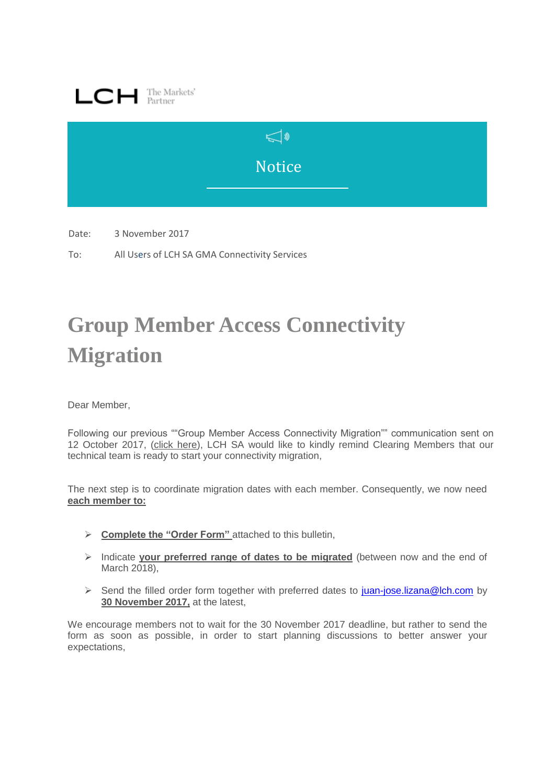



Date: 3 November 2017

To: All Users of LCH SA GMA Connectivity Services

## **Group Member Access Connectivity Migration**

Dear Member,

Following our previous ""Group Member Access Connectivity Migration"" communication sent on 12 October 2017, (click [here\)](http://www.lch.com/documents/731485/762769/lch-sa-bulletin-group-member-access-connectivity-migration-bulletin-sent-on-oct-12-2017.pdf/0e929b6c-329b-47f9-bdce-ae4b4a24e194), LCH SA would like to kindly remind Clearing Members that our technical team is ready to start your connectivity migration,

The next step is to coordinate migration dates with each member. Consequently, we now need **each member to:**

- **Complete the "Order Form"** attached to this bulletin,
- Indicate **your preferred range of dates to be migrated** (between now and the end of March 2018),
- Send the filled order form together with preferred dates to [juan-jose.lizana@lch.com](mailto:juan-jose.lizana@lch.com) by **30 November 2017,** at the latest,

We encourage members not to wait for the 30 November 2017 deadline, but rather to send the form as soon as possible, in order to start planning discussions to better answer your expectations,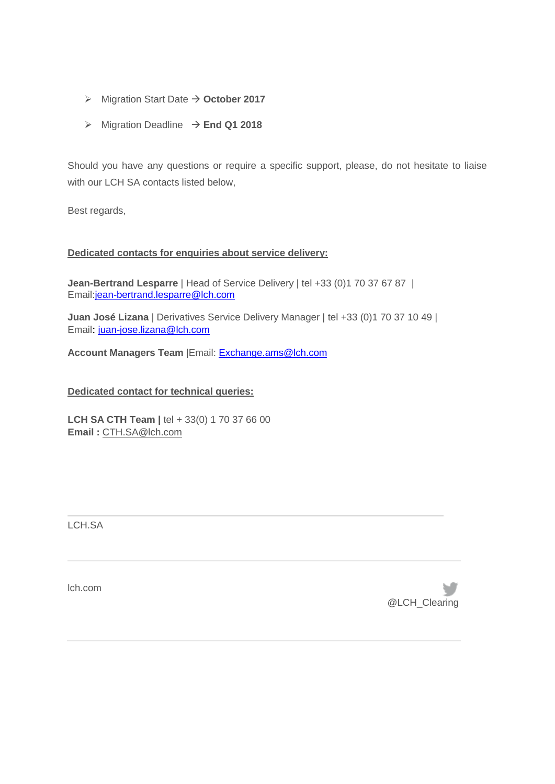- $\triangleright$  Migration Start Date  $\rightarrow$  October 2017
- $\triangleright$  Migration Deadline  $\rightarrow$  End Q1 2018

Should you have any questions or require a specific support, please, do not hesitate to liaise with our LCH SA contacts listed below,

Best regards,

## **Dedicated contacts for enquiries about service delivery:**

**Jean-Bertrand Lesparre** | Head of Service Delivery | tel +33 (0)1 70 37 67 87 | Email[:jean-bertrand.lesparre@lch.com](mailto:jean-bertrand.lesparre@lch.com)

**Juan José Lizana** | Derivatives Service Delivery Manager | tel +33 (0)1 70 37 10 49 | Email: [juan-jose.lizana@lch.com](mailto:juan-jose.lizana@lch.com)

**Account Managers Team** |Email: [Exchange.ams@lch.com](mailto:Exchange.ams@lch.com)

## **Dedicated contact for technical queries:**

**LCH SA CTH Team | tel + 33(0) 1 70 37 66 00 Email :** [CTH.SA@lch.com](mailto:CTH.SA@lch.com)

LCH.SA

lch.com